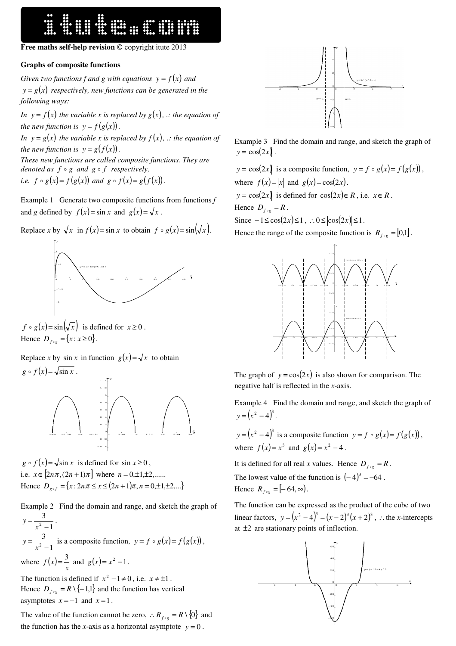## **Free maths self-help revision** © copyright itute 2013

## **Graphs of composite functions**

*Given two functions f and g with equations*  $y = f(x)$  *and*  $y = g(x)$  respectively, new functions can be generated in the *following ways:* 

*In*  $y = f(x)$  *the variable x is replaced by*  $g(x)$ *, .: the equation of the new function is*  $y = f(g(x))$ *.* 

*In*  $y = g(x)$  *the variable x is replaced by*  $f(x)$ *, .: the equation of the new function is*  $y = g(f(x))$ *.* 

*These new functions are called composite functions. They are denoted as f* o *g and g* o *f respectively, i.e.*  $f \circ g(x) = f(g(x))$  and  $g \circ f(x) = g(f(x))$ .

Example 1 Generate two composite functions from functions *f* and *g* defined by  $f(x) = \sin x$  and  $g(x) = \sqrt{x}$ .

Replace *x* by  $\sqrt{x}$  in  $f(x) = \sin x$  to obtain  $f \circ g(x) = \sin(\sqrt{x})$ .



 $f \circ g(x) = \sin(\sqrt{x})$  is defined for  $x \ge 0$ . Hence  $D_{f \circ g} = \{x : x \ge 0\}.$ 

Replace *x* by sin *x* in function  $g(x) = \sqrt{x}$  to obtain  $g \circ f(x) = \sqrt{\sin x}$ .



 $g \circ f(x) = \sqrt{\sin x}$  is defined for  $\sin x \ge 0$ , i.e.  $x \in [2n\pi, (2n+1)\pi]$  where  $n = 0, \pm 1, \pm 2, \dots$ . Hence  $D_{g \circ f} = \{x : 2n\pi \le x \le (2n+1)\pi, n = 0, \pm 1, \pm 2, ...\}$ 

Example 2 Find the domain and range, and sketch the graph of 1 3  $2$  – = *x*  $y = \frac{y}{2}$ . 1 3  $2$  – = *x*  $y = \frac{3}{x}$  is a composite function,  $y = f \circ g(x) = f(g(x))$ , where  $f(x) = \frac{3}{x}$  and  $g(x) = x^2 - 1$ . The function is defined if  $x^2 - 1 \neq 0$ , i.e.  $x \neq \pm 1$ . Hence  $D_{f \circ g} = R \setminus \{-1,1\}$  and the function has vertical asymptotes  $x = -1$  and  $x = 1$ .

The value of the function cannot be zero,  $\therefore R_{f \circ g} = R \setminus \{0\}$  and the function has the *x*-axis as a horizontal asymptote  $y = 0$ .



Example 3 Find the domain and range, and sketch the graph of  $y = \cos(2x)$ .

 $y = |\cos(2x)|$  is a composite function,  $y = f \circ g(x) = f(g(x))$ , where  $f(x) = |x|$  and  $g(x) = \cos(2x)$ .

 $y = |\cos(2x)|$  is defined for  $\cos(2x) \in R$ , i.e.  $x \in R$ . Hence  $D_{f \circ g} = R$ .

Since  $-1 \le \cos(2x) \le 1$ , ∴0 ≤  $|\cos(2x)| \le 1$ .

Hence the range of the composite function is  $R_{f \circ g} = [0,1]$ .



The graph of  $y = cos(2x)$  is also shown for comparison. The negative half is reflected in the *x*-axis.

Example 4 Find the domain and range, and sketch the graph of  $y = (x^2 - 4)^3$ .

 $y = (x^2 - 4)^3$  is a composite function  $y = f \circ g(x) = f(g(x))$ , where  $f(x) = x^3$  and  $g(x) = x^2 - 4$ .

It is defined for all real *x* values. Hence  $D_{f \circ g} = R$ .

The lowest value of the function is  $(-4)^3 = -64$ . Hence  $R_{f \circ g} = [-64, \infty)$ .

The function can be expressed as the product of the cube of two linear factors,  $y = (x^2 - 4)^3 = (x - 2)^3 (x + 2)^3$ , ∴the *x*-intercepts at  $\pm 2$  are stationary points of inflection.

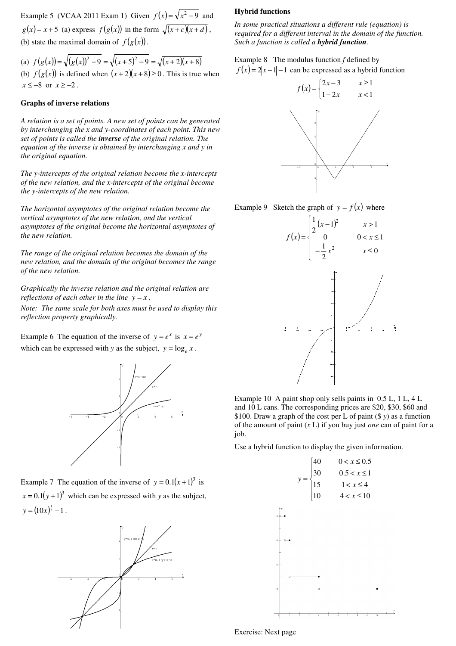Example 5 (VCAA 2011 Exam 1) Given  $f(x) = \sqrt{x^2 - 9}$  and  $g(x) = x + 5$  (a) express  $f(g(x))$  in the form  $\sqrt{(x+c)(x+d)}$ , (b) state the maximal domain of  $f(g(x))$ .

(a)  $f(g(x)) = \sqrt{(g(x))^2 - 9} = \sqrt{(x+5)^2 - 9} = \sqrt{(x+2)(x+8)}$ (b)  $f(g(x))$  is defined when  $(x+2)(x+8) \ge 0$ . This is true when *x* ≤ –8 or *x* ≥ –2.

## **Graphs of inverse relations**

*A relation is a set of points. A new set of points can be generated by interchanging the x and y-coordinates of each point. This new set of points is called the inverse of the original relation. The equation of the inverse is obtained by interchanging x and y in the original equation.* 

*The y-intercepts of the original relation become the x-intercepts of the new relation, and the x-intercepts of the original become the y-intercepts of the new relation.* 

*The horizontal asymptotes of the original relation become the vertical asymptotes of the new relation, and the vertical asymptotes of the original become the horizontal asymptotes of the new relation.* 

*The range of the original relation becomes the domain of the new relation, and the domain of the original becomes the range of the new relation.* 

*Graphically the inverse relation and the original relation are reflections of each other in the line*  $y = x$ .

*Note: The same scale for both axes must be used to display this reflection property graphically.* 

Example 6 The equation of the inverse of  $y = e^x$  is  $x = e^y$ which can be expressed with *y* as the subject,  $y = \log_e x$ .



Example 7 The equation of the inverse of  $y = 0.1(x+1)^3$  is  $x = 0.1(y + 1)^3$  which can be expressed with *y* as the subject,  $y = (10x)^{\frac{1}{3}} - 1$ .



## **Hybrid functions**

*In some practical situations a different rule (equation) is required for a different interval in the domain of the function. Such a function is called a hybrid function.* 

Example 8 The modulus function *f* defined by  $f(x) = 2|x-1| - 1$  can be expressed as a hybrid function



Example 9 Sketch the graph of  $y = f(x)$  where



Example 10 A paint shop only sells paints in 0.5 L, 1 L, 4 L and 10 L cans. The corresponding prices are \$20, \$30, \$60 and \$100. Draw a graph of the cost per L of paint (\$ *y*) as a function of the amount of paint (*x* L) if you buy just *one* can of paint for a job.

Use a hybrid function to display the given information.



Exercise: Next page